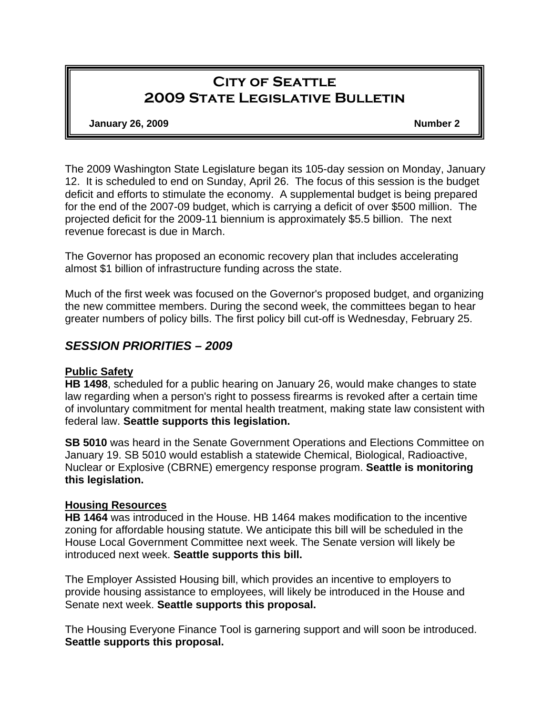# **City of Seattle 2009 State Legislative Bulletin**

**January 26, 2009 Number 2** 

The 2009 Washington State Legislature began its 105-day session on Monday, January 12. It is scheduled to end on Sunday, April 26. The focus of this session is the budget deficit and efforts to stimulate the economy. A supplemental budget is being prepared for the end of the 2007-09 budget, which is carrying a deficit of over \$500 million. The projected deficit for the 2009-11 biennium is approximately \$5.5 billion. The next revenue forecast is due in March.

The Governor has proposed an economic recovery plan that includes accelerating almost \$1 billion of infrastructure funding across the state.

Much of the first week was focused on the Governor's proposed budget, and organizing the new committee members. During the second week, the committees began to hear greater numbers of policy bills. The first policy bill cut-off is Wednesday, February 25.

## *SESSION PRIORITIES – 2009*

#### **Public Safety**

**HB 1498**, scheduled for a public hearing on January 26, would make changes to state law regarding when a person's right to possess firearms is revoked after a certain time of involuntary commitment for mental health treatment, making state law consistent with federal law. **Seattle supports this legislation.** 

**SB 5010** was heard in the Senate Government Operations and Elections Committee on January 19. SB 5010 would establish a statewide Chemical, Biological, Radioactive, Nuclear or Explosive (CBRNE) emergency response program. **Seattle is monitoring this legislation.** 

#### **Housing Resources**

**HB 1464** was introduced in the House. HB 1464 makes modification to the incentive zoning for affordable housing statute. We anticipate this bill will be scheduled in the House Local Government Committee next week. The Senate version will likely be introduced next week. **Seattle supports this bill.**

The Employer Assisted Housing bill, which provides an incentive to employers to provide housing assistance to employees, will likely be introduced in the House and Senate next week. **Seattle supports this proposal.** 

The Housing Everyone Finance Tool is garnering support and will soon be introduced. **Seattle supports this proposal.**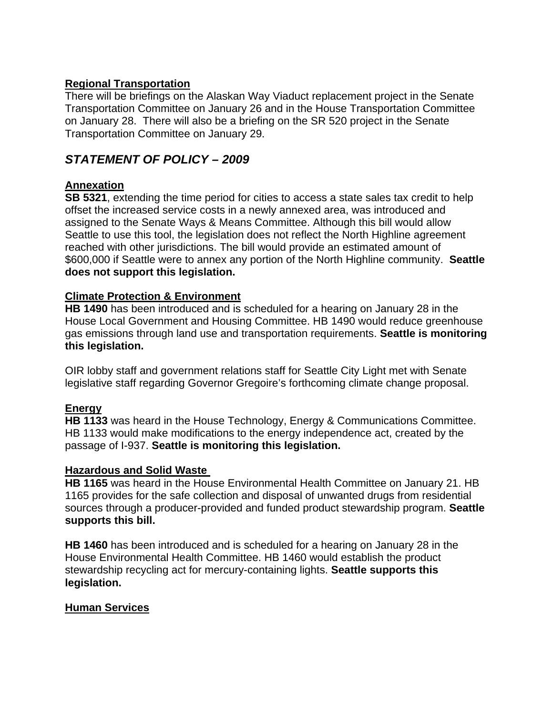## **Regional Transportation**

There will be briefings on the Alaskan Way Viaduct replacement project in the Senate Transportation Committee on January 26 and in the House Transportation Committee on January 28. There will also be a briefing on the SR 520 project in the Senate Transportation Committee on January 29.

## *STATEMENT OF POLICY – 2009*

## **Annexation**

**SB 5321**, extending the time period for cities to access a state sales tax credit to help offset the increased service costs in a newly annexed area, was introduced and assigned to the Senate Ways & Means Committee. Although this bill would allow Seattle to use this tool, the legislation does not reflect the North Highline agreement reached with other jurisdictions. The bill would provide an estimated amount of \$600,000 if Seattle were to annex any portion of the North Highline community. **Seattle does not support this legislation.**

## **Climate Protection & Environment**

**HB 1490** has been introduced and is scheduled for a hearing on January 28 in the House Local Government and Housing Committee. HB 1490 would reduce greenhouse gas emissions through land use and transportation requirements. **Seattle is monitoring this legislation.**

OIR lobby staff and government relations staff for Seattle City Light met with Senate legislative staff regarding Governor Gregoire's forthcoming climate change proposal.

## **Energy**

**HB 1133** was heard in the House Technology, Energy & Communications Committee. HB 1133 would make modifications to the energy independence act, created by the passage of I-937. **Seattle is monitoring this legislation.** 

#### **Hazardous and Solid Waste**

**HB 1165** was heard in the House Environmental Health Committee on January 21. HB 1165 provides for the safe collection and disposal of unwanted drugs from residential sources through a producer-provided and funded product stewardship program. **Seattle supports this bill.** 

**HB 1460** has been introduced and is scheduled for a hearing on January 28 in the House Environmental Health Committee. HB 1460 would establish the product stewardship recycling act for mercury-containing lights. **Seattle supports this legislation.**

## **Human Services**